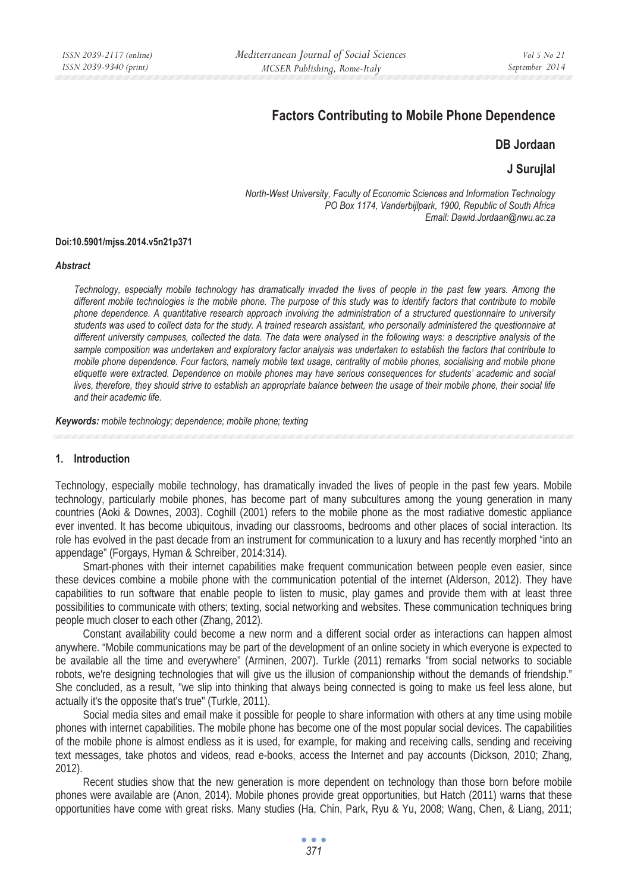# **Factors Contributing to Mobile Phone Dependence**

#### **DB Jordaan**

# **J Surujlal**

*North-West University, Faculty of Economic Sciences and Information Technology PO Box 1174, Vanderbijlpark, 1900, Republic of South Africa Email: Dawid.Jordaan@nwu.ac.za* 

#### **Doi:10.5901/mjss.2014.v5n21p371**

#### *Abstract*

*Technology, especially mobile technology has dramatically invaded the lives of people in the past few years. Among the different mobile technologies is the mobile phone. The purpose of this study was to identify factors that contribute to mobile phone dependence. A quantitative research approach involving the administration of a structured questionnaire to university students was used to collect data for the study. A trained research assistant, who personally administered the questionnaire at different university campuses, collected the data. The data were analysed in the following ways: a descriptive analysis of the sample composition was undertaken and exploratory factor analysis was undertaken to establish the factors that contribute to mobile phone dependence. Four factors, namely mobile text usage, centrality of mobile phones, socialising and mobile phone etiquette were extracted. Dependence on mobile phones may have serious consequences for students' academic and social lives, therefore, they should strive to establish an appropriate balance between the usage of their mobile phone, their social life and their academic life.* 

*Keywords: mobile technology; dependence; mobile phone; texting*

### **1. Introduction**

Technology, especially mobile technology, has dramatically invaded the lives of people in the past few years. Mobile technology, particularly mobile phones, has become part of many subcultures among the young generation in many countries (Aoki & Downes, 2003). Coghill (2001) refers to the mobile phone as the most radiative domestic appliance ever invented. It has become ubiquitous, invading our classrooms, bedrooms and other places of social interaction. Its role has evolved in the past decade from an instrument for communication to a luxury and has recently morphed "into an appendage" (Forgays, Hyman & Schreiber, 2014:314).

Smart-phones with their internet capabilities make frequent communication between people even easier, since these devices combine a mobile phone with the communication potential of the internet (Alderson, 2012). They have capabilities to run software that enable people to listen to music, play games and provide them with at least three possibilities to communicate with others; texting, social networking and websites. These communication techniques bring people much closer to each other (Zhang, 2012).

Constant availability could become a new norm and a different social order as interactions can happen almost anywhere. "Mobile communications may be part of the development of an online society in which everyone is expected to be available all the time and everywhere" (Arminen, 2007). Turkle (2011) remarks "from social networks to sociable robots, we're designing technologies that will give us the illusion of companionship without the demands of friendship." She concluded, as a result, "we slip into thinking that always being connected is going to make us feel less alone, but actually it's the opposite that's true" (Turkle, 2011).

Social media sites and email make it possible for people to share information with others at any time using mobile phones with internet capabilities. The mobile phone has become one of the most popular social devices. The capabilities of the mobile phone is almost endless as it is used, for example, for making and receiving calls, sending and receiving text messages, take photos and videos, read e-books, access the Internet and pay accounts (Dickson, 2010; Zhang, 2012).

Recent studies show that the new generation is more dependent on technology than those born before mobile phones were available are (Anon, 2014). Mobile phones provide great opportunities, but Hatch (2011) warns that these opportunities have come with great risks. Many studies (Ha, Chin, Park, Ryu & Yu, 2008; Wang, Chen, & Liang, 2011;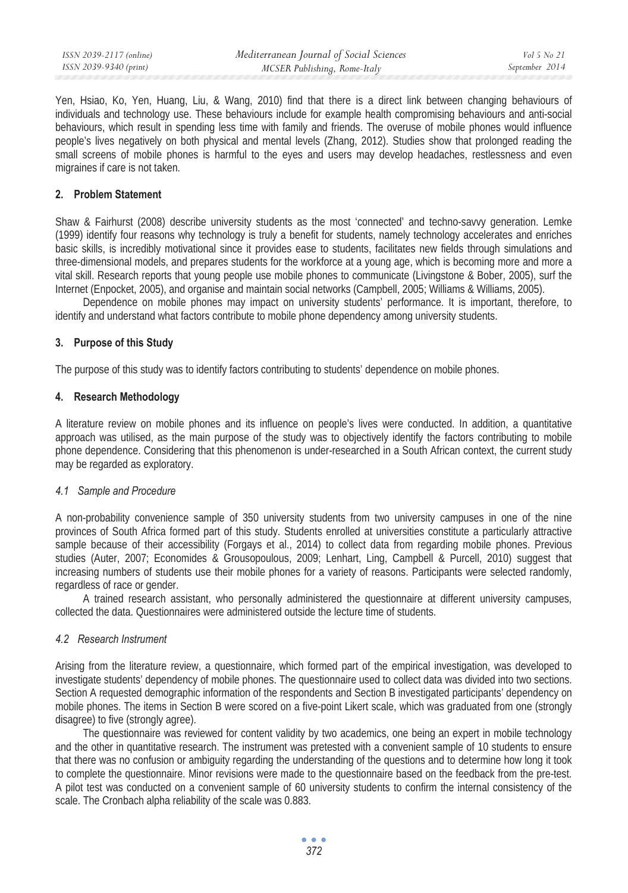Yen, Hsiao, Ko, Yen, Huang, Liu, & Wang, 2010) find that there is a direct link between changing behaviours of individuals and technology use. These behaviours include for example health compromising behaviours and anti-social behaviours, which result in spending less time with family and friends. The overuse of mobile phones would influence people's lives negatively on both physical and mental levels (Zhang, 2012). Studies show that prolonged reading the small screens of mobile phones is harmful to the eyes and users may develop headaches, restlessness and even migraines if care is not taken.

### **2. Problem Statement**

Shaw & Fairhurst (2008) describe university students as the most 'connected' and techno-savvy generation. Lemke (1999) identify four reasons why technology is truly a benefit for students, namely technology accelerates and enriches basic skills, is incredibly motivational since it provides ease to students, facilitates new fields through simulations and three-dimensional models, and prepares students for the workforce at a young age, which is becoming more and more a vital skill. Research reports that young people use mobile phones to communicate (Livingstone & Bober, 2005), surf the Internet (Enpocket, 2005), and organise and maintain social networks (Campbell, 2005; Williams & Williams, 2005).

Dependence on mobile phones may impact on university students' performance. It is important, therefore, to identify and understand what factors contribute to mobile phone dependency among university students.

#### **3. Purpose of this Study**

The purpose of this study was to identify factors contributing to students' dependence on mobile phones.

#### **4. Research Methodology**

A literature review on mobile phones and its influence on people's lives were conducted. In addition, a quantitative approach was utilised, as the main purpose of the study was to objectively identify the factors contributing to mobile phone dependence. Considering that this phenomenon is under-researched in a South African context, the current study may be regarded as exploratory.

#### *4.1 Sample and Procedure*

A non-probability convenience sample of 350 university students from two university campuses in one of the nine provinces of South Africa formed part of this study. Students enrolled at universities constitute a particularly attractive sample because of their accessibility (Forgays et al., 2014) to collect data from regarding mobile phones. Previous studies (Auter, 2007; Economides & Grousopoulous, 2009; Lenhart, Ling, Campbell & Purcell, 2010) suggest that increasing numbers of students use their mobile phones for a variety of reasons. Participants were selected randomly, regardless of race or gender.

A trained research assistant, who personally administered the questionnaire at different university campuses, collected the data. Questionnaires were administered outside the lecture time of students.

### *4.2 Research Instrument*

Arising from the literature review, a questionnaire, which formed part of the empirical investigation, was developed to investigate students' dependency of mobile phones. The questionnaire used to collect data was divided into two sections. Section A requested demographic information of the respondents and Section B investigated participants' dependency on mobile phones. The items in Section B were scored on a five-point Likert scale, which was graduated from one (strongly disagree) to five (strongly agree).

The questionnaire was reviewed for content validity by two academics, one being an expert in mobile technology and the other in quantitative research. The instrument was pretested with a convenient sample of 10 students to ensure that there was no confusion or ambiguity regarding the understanding of the questions and to determine how long it took to complete the questionnaire. Minor revisions were made to the questionnaire based on the feedback from the pre-test. A pilot test was conducted on a convenient sample of 60 university students to confirm the internal consistency of the scale. The Cronbach alpha reliability of the scale was 0.883.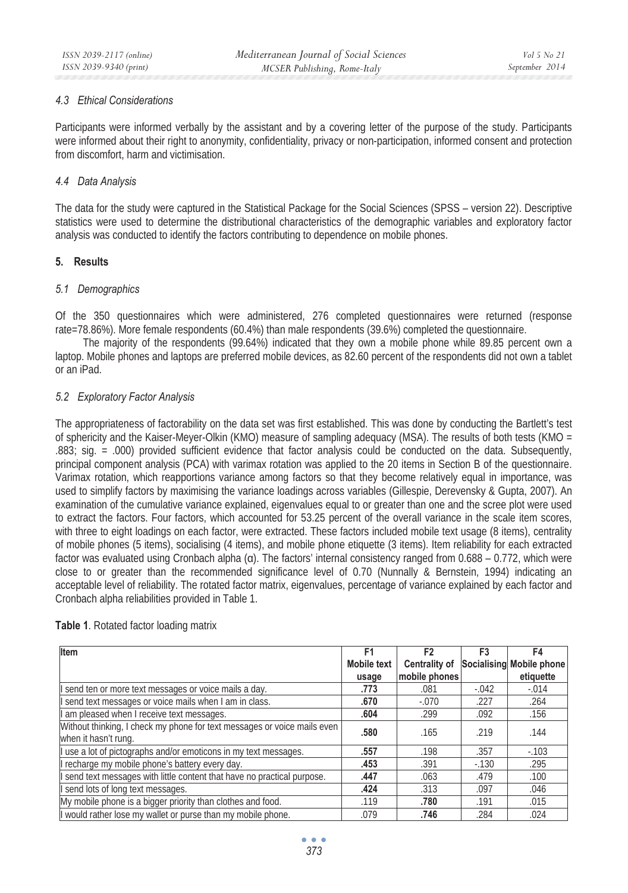# *4.3 Ethical Considerations*

Participants were informed verbally by the assistant and by a covering letter of the purpose of the study. Participants were informed about their right to anonymity, confidentiality, privacy or non-participation, informed consent and protection from discomfort, harm and victimisation.

# *4.4 Data Analysis*

The data for the study were captured in the Statistical Package for the Social Sciences (SPSS – version 22). Descriptive statistics were used to determine the distributional characteristics of the demographic variables and exploratory factor analysis was conducted to identify the factors contributing to dependence on mobile phones.

# **5. Results**

# *5.1 Demographics*

Of the 350 questionnaires which were administered, 276 completed questionnaires were returned (response rate=78.86%). More female respondents (60.4%) than male respondents (39.6%) completed the questionnaire.

The majority of the respondents (99.64%) indicated that they own a mobile phone while 89.85 percent own a laptop. Mobile phones and laptops are preferred mobile devices, as 82.60 percent of the respondents did not own a tablet or an iPad.

# *5.2 Exploratory Factor Analysis*

The appropriateness of factorability on the data set was first established. This was done by conducting the Bartlett's test of sphericity and the Kaiser-Meyer-Olkin (KMO) measure of sampling adequacy (MSA). The results of both tests (KMO = .883; sig. = .000) provided sufficient evidence that factor analysis could be conducted on the data. Subsequently, principal component analysis (PCA) with varimax rotation was applied to the 20 items in Section B of the questionnaire. Varimax rotation, which reapportions variance among factors so that they become relatively equal in importance, was used to simplify factors by maximising the variance loadings across variables (Gillespie, Derevensky & Gupta, 2007). An examination of the cumulative variance explained, eigenvalues equal to or greater than one and the scree plot were used to extract the factors. Four factors, which accounted for 53.25 percent of the overall variance in the scale item scores, with three to eight loadings on each factor, were extracted. These factors included mobile text usage (8 items), centrality of mobile phones (5 items), socialising (4 items), and mobile phone etiquette (3 items). Item reliability for each extracted factor was evaluated using Cronbach alpha  $(q)$ . The factors' internal consistency ranged from 0.688 – 0.772, which were close to or greater than the recommended significance level of 0.70 (Nunnally & Bernstein, 1994) indicating an acceptable level of reliability. The rotated factor matrix, eigenvalues, percentage of variance explained by each factor and Cronbach alpha reliabilities provided in Table 1.

| <b>I</b> tem                                                             | F1                 | F2                   | F3      | F4                       |
|--------------------------------------------------------------------------|--------------------|----------------------|---------|--------------------------|
|                                                                          | <b>Mobile text</b> | <b>Centrality of</b> |         | Socialising Mobile phone |
|                                                                          | usage              | mobile phones        |         | etiquette                |
| I send ten or more text messages or voice mails a day.                   | .773               | .081                 | $-.042$ | $-.014$                  |
| I send text messages or voice mails when I am in class.                  | .670               | $-.070$              | .227    | .264                     |
| I am pleased when I receive text messages.                               | .604               | .299                 | .092    | .156                     |
| Without thinking, I check my phone for text messages or voice mails even | .580               | .165                 | .219    | .144                     |
| when it hasn't rung.                                                     |                    |                      |         |                          |
| I use a lot of pictographs and/or emoticons in my text messages.         | .557               | .198                 | .357    | $-103$                   |
| I recharge my mobile phone's battery every day.                          | .453               | .391                 | $-130$  | .295                     |
| I send text messages with little content that have no practical purpose. | .447               | .063                 | .479    | .100                     |
| I send lots of long text messages.                                       | .424               | .313                 | .097    | .046                     |
| My mobile phone is a bigger priority than clothes and food.              | .119               | .780                 | .191    | .015                     |
| I would rather lose my wallet or purse than my mobile phone.             | .079               | .746                 | .284    | .024                     |

# **Table 1**. Rotated factor loading matrix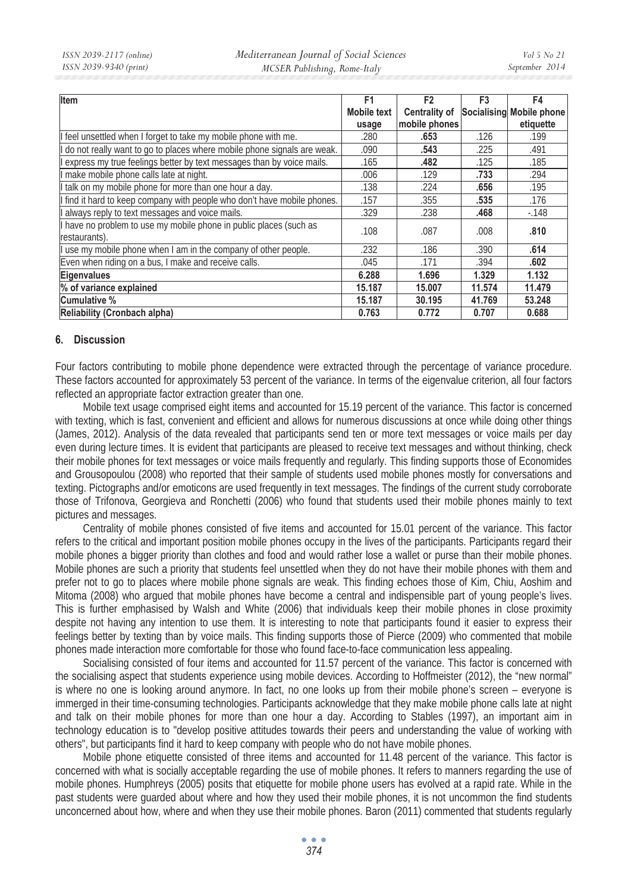| Item                                                                                | F1                 | F2                   | F <sub>3</sub> | F4                       |
|-------------------------------------------------------------------------------------|--------------------|----------------------|----------------|--------------------------|
|                                                                                     | <b>Mobile text</b> | <b>Centrality of</b> |                | Socialising Mobile phone |
|                                                                                     | usage              | mobile phones        |                | etiquette                |
| If feel unsettled when I forget to take my mobile phone with me.                    | .280               | .653                 | .126           | .199                     |
| I do not really want to go to places where mobile phone signals are weak.           | .090               | .543                 | .225           | .491                     |
| I express my true feelings better by text messages than by voice mails.             | .165               | .482                 | .125           | .185                     |
| I make mobile phone calls late at night.                                            | .006               | .129                 | .733           | .294                     |
| I talk on my mobile phone for more than one hour a day.                             | .138               | .224                 | .656           | .195                     |
| I find it hard to keep company with people who don't have mobile phones.            | .157               | .355                 | .535           | .176                     |
| I always reply to text messages and voice mails.                                    | .329               | .238                 | .468           | $-148$                   |
| I have no problem to use my mobile phone in public places (such as<br>restaurants). | .108               | .087                 | .008           | .810                     |
| I use my mobile phone when I am in the company of other people.                     | .232               | .186                 | .390           | .614                     |
| Even when riding on a bus, I make and receive calls.                                | .045               | .171                 | .394           | .602                     |
| Eigenvalues                                                                         | 6.288              | 1.696                | 1.329          | 1.132                    |
| % of variance explained                                                             | 15.187             | 15.007               | 11.574         | 11.479                   |
| Cumulative %                                                                        | 15.187             | 30.195               | 41.769         | 53.248                   |
| Reliability (Cronbach alpha)                                                        | 0.763              | 0.772                | 0.707          | 0.688                    |

#### **6. Discussion**

Four factors contributing to mobile phone dependence were extracted through the percentage of variance procedure. These factors accounted for approximately 53 percent of the variance. In terms of the eigenvalue criterion, all four factors reflected an appropriate factor extraction greater than one.

Mobile text usage comprised eight items and accounted for 15.19 percent of the variance. This factor is concerned with texting, which is fast, convenient and efficient and allows for numerous discussions at once while doing other things (James, 2012). Analysis of the data revealed that participants send ten or more text messages or voice mails per day even during lecture times. It is evident that participants are pleased to receive text messages and without thinking, check their mobile phones for text messages or voice mails frequently and regularly. This finding supports those of Economides and Grousopoulou (2008) who reported that their sample of students used mobile phones mostly for conversations and texting. Pictographs and/or emoticons are used frequently in text messages. The findings of the current study corroborate those of Trifonova, Georgieva and Ronchetti (2006) who found that students used their mobile phones mainly to text pictures and messages.

Centrality of mobile phones consisted of five items and accounted for 15.01 percent of the variance. This factor refers to the critical and important position mobile phones occupy in the lives of the participants. Participants regard their mobile phones a bigger priority than clothes and food and would rather lose a wallet or purse than their mobile phones. Mobile phones are such a priority that students feel unsettled when they do not have their mobile phones with them and prefer not to go to places where mobile phone signals are weak. This finding echoes those of Kim, Chiu, Aoshim and Mitoma (2008) who argued that mobile phones have become a central and indispensible part of young people's lives. This is further emphasised by Walsh and White (2006) that individuals keep their mobile phones in close proximity despite not having any intention to use them. It is interesting to note that participants found it easier to express their feelings better by texting than by voice mails. This finding supports those of Pierce (2009) who commented that mobile phones made interaction more comfortable for those who found face-to-face communication less appealing.

Socialising consisted of four items and accounted for 11.57 percent of the variance. This factor is concerned with the socialising aspect that students experience using mobile devices. According to Hoffmeister (2012), the "new normal" is where no one is looking around anymore. In fact, no one looks up from their mobile phone's screen – everyone is immerged in their time-consuming technologies. Participants acknowledge that they make mobile phone calls late at night and talk on their mobile phones for more than one hour a day. According to Stables (1997), an important aim in technology education is to "develop positive attitudes towards their peers and understanding the value of working with others", but participants find it hard to keep company with people who do not have mobile phones.

Mobile phone etiquette consisted of three items and accounted for 11.48 percent of the variance. This factor is concerned with what is socially acceptable regarding the use of mobile phones. It refers to manners regarding the use of mobile phones. Humphreys (2005) posits that etiquette for mobile phone users has evolved at a rapid rate. While in the past students were guarded about where and how they used their mobile phones, it is not uncommon the find students unconcerned about how, where and when they use their mobile phones. Baron (2011) commented that students regularly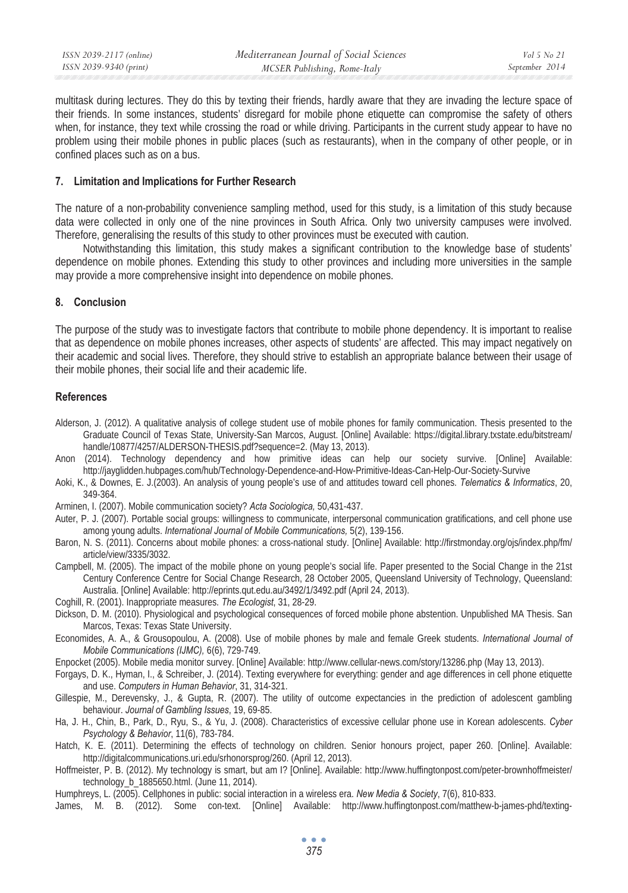| ISSN 2039-2117 (online) | Mediterranean Journal of Social Sciences | Vol 5 No 21    |
|-------------------------|------------------------------------------|----------------|
| ISSN 2039-9340 (print)  | MCSER Publishing, Rome-Italy             | September 2014 |

multitask during lectures. They do this by texting their friends, hardly aware that they are invading the lecture space of their friends. In some instances, students' disregard for mobile phone etiquette can compromise the safety of others when, for instance, they text while crossing the road or while driving. Participants in the current study appear to have no problem using their mobile phones in public places (such as restaurants), when in the company of other people, or in confined places such as on a bus.

#### **7. Limitation and Implications for Further Research**

The nature of a non-probability convenience sampling method, used for this study, is a limitation of this study because data were collected in only one of the nine provinces in South Africa. Only two university campuses were involved. Therefore, generalising the results of this study to other provinces must be executed with caution.

Notwithstanding this limitation, this study makes a significant contribution to the knowledge base of students' dependence on mobile phones. Extending this study to other provinces and including more universities in the sample may provide a more comprehensive insight into dependence on mobile phones.

### **8. Conclusion**

The purpose of the study was to investigate factors that contribute to mobile phone dependency. It is important to realise that as dependence on mobile phones increases, other aspects of students' are affected. This may impact negatively on their academic and social lives. Therefore, they should strive to establish an appropriate balance between their usage of their mobile phones, their social life and their academic life.

#### **References**

- Alderson, J. (2012). A qualitative analysis of college student use of mobile phones for family communication. Thesis presented to the Graduate Council of Texas State, University-San Marcos, August. [Online] Available: https://digital.library.txstate.edu/bitstream/ handle/10877/4257/ALDERSON-THESIS.pdf?sequence=2. (May 13, 2013).
- Anon (2014). Technology dependency and how primitive ideas can help our society survive. [Online] Available: http://jayglidden.hubpages.com/hub/Technology-Dependence-and-How-Primitive-Ideas-Can-Help-Our-Society-Survive
- Aoki, K., & Downes, E. J.(2003). An analysis of young people's use of and attitudes toward cell phones. *Telematics & Informatics*, 20, 349-364.
- Arminen, I. (2007). Mobile communication society? *Acta Sociologica,* 50,431-437.
- Auter, P. J. (2007). Portable social groups: willingness to communicate, interpersonal communication gratifications, and cell phone use among young adults. *International Journal of Mobile Communications,* 5(2), 139-156.
- Baron, N. S. (2011). Concerns about mobile phones: a cross-national study. [Online] Available: http://firstmonday.org/ojs/index.php/fm/ article/view/3335/3032.
- Campbell, M. (2005). The impact of the mobile phone on young people's social life. Paper presented to the Social Change in the 21st Century Conference Centre for Social Change Research, 28 October 2005, Queensland University of Technology, Queensland: Australia. [Online] Available: http://eprints.qut.edu.au/3492/1/3492.pdf (April 24, 2013).
- Coghill, R. (2001). Inappropriate measures. *The Ecologist*, 31, 28-29.
- Dickson, D. M. (2010). Physiological and psychological consequences of forced mobile phone abstention. Unpublished MA Thesis. San Marcos, Texas: Texas State University.
- Economides, A. A., & Grousopoulou, A. (2008). Use of mobile phones by male and female Greek students. *International Journal of Mobile Communications (IJMC),* 6(6), 729-749.
- Enpocket (2005). Mobile media monitor survey. [Online] Available: http://www.cellular-news.com/story/13286.php (May 13, 2013).
- Forgays, D. K., Hyman, I., & Schreiber, J. (2014). Texting everywhere for everything: gender and age differences in cell phone etiquette and use. *Computers in Human Behavior*, 31, 314-321.
- Gillespie, M., Derevensky, J., & Gupta, R. (2007). The utility of outcome expectancies in the prediction of adolescent gambling behaviour. *Journal of Gambling Issues*, 19, 69-85.
- Ha, J. H., Chin, B., Park, D., Ryu, S., & Yu, J. (2008). Characteristics of excessive cellular phone use in Korean adolescents. *Cyber Psychology & Behavior*, 11(6), 783-784.
- Hatch, K. E. (2011). Determining the effects of technology on children. Senior honours project, paper 260. [Online]. Available: http://digitalcommunications.uri.edu/srhonorsprog/260. (April 12, 2013).
- Hoffmeister, P. B. (2012). My technology is smart, but am I? [Online]. Available: http://www.huffingtonpost.com/peter-brownhoffmeister/ technology\_b\_1885650.html. (June 11, 2014).
- Humphreys, L. (2005). Cellphones in public: social interaction in a wireless era. *New Media & Society*, 7(6), 810-833.
- James, M. B. (2012). Some con-text. [Online] Available: http://www.huffingtonpost.com/matthew-b-james-phd/texting-